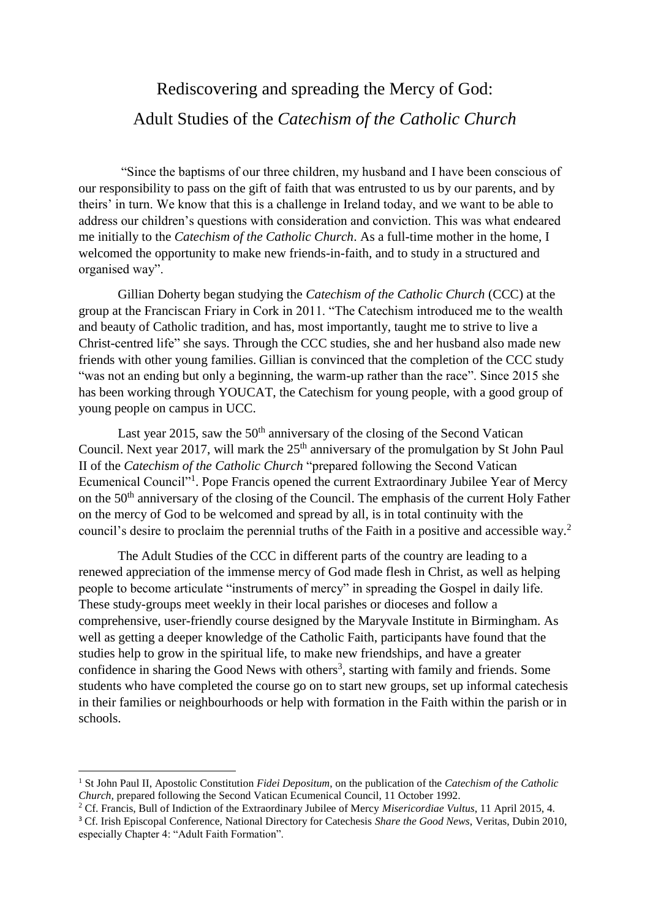## Rediscovering and spreading the Mercy of God: Adult Studies of the *Catechism of the Catholic Church*

"Since the baptisms of our three children, my husband and I have been conscious of our responsibility to pass on the gift of faith that was entrusted to us by our parents, and by theirs' in turn. We know that this is a challenge in Ireland today, and we want to be able to address our children's questions with consideration and conviction. This was what endeared me initially to the *Catechism of the Catholic Church*. As a full-time mother in the home, I welcomed the opportunity to make new friends-in-faith, and to study in a structured and organised way".

Gillian Doherty began studying the *Catechism of the Catholic Church* (CCC) at the group at the Franciscan Friary in Cork in 2011. "The Catechism introduced me to the wealth and beauty of Catholic tradition, and has, most importantly, taught me to strive to live a Christ-centred life" she says. Through the CCC studies, she and her husband also made new friends with other young families. Gillian is convinced that the completion of the CCC study "was not an ending but only a beginning, the warm-up rather than the race". Since 2015 she has been working through YOUCAT, the Catechism for young people, with a good group of young people on campus in UCC.

Last year 2015, saw the  $50<sup>th</sup>$  anniversary of the closing of the Second Vatican Council. Next year 2017, will mark the  $25<sup>th</sup>$  anniversary of the promulgation by St John Paul II of the *Catechism of the Catholic Church* "prepared following the Second Vatican Ecumenical Council"<sup>1</sup>. Pope Francis opened the current Extraordinary Jubilee Year of Mercy on the 50<sup>th</sup> anniversary of the closing of the Council. The emphasis of the current Holy Father on the mercy of God to be welcomed and spread by all, is in total continuity with the council's desire to proclaim the perennial truths of the Faith in a positive and accessible way.<sup>2</sup>

The Adult Studies of the CCC in different parts of the country are leading to a renewed appreciation of the immense mercy of God made flesh in Christ, as well as helping people to become articulate "instruments of mercy" in spreading the Gospel in daily life. These study-groups meet weekly in their local parishes or dioceses and follow a comprehensive, user-friendly course designed by the Maryvale Institute in Birmingham. As well as getting a deeper knowledge of the Catholic Faith, participants have found that the studies help to grow in the spiritual life, to make new friendships, and have a greater confidence in sharing the Good News with others<sup>3</sup>, starting with family and friends. Some students who have completed the course go on to start new groups, set up informal catechesis in their families or neighbourhoods or help with formation in the Faith within the parish or in schools.

1

<sup>1</sup> St John Paul II, Apostolic Constitution *Fidei Depositum*, on the publication of the *Catechism of the Catholic Church,* prepared following the Second Vatican Ecumenical Council, 11 October 1992.

<sup>2</sup> Cf. Francis, Bull of Indiction of the Extraordinary Jubilee of Mercy *Misericordiae Vultus*, 11 April 2015, 4.

<sup>3</sup> Cf. Irish Episcopal Conference, National Directory for Catechesis *Share the Good News*, Veritas, Dubin 2010, especially Chapter 4: "Adult Faith Formation".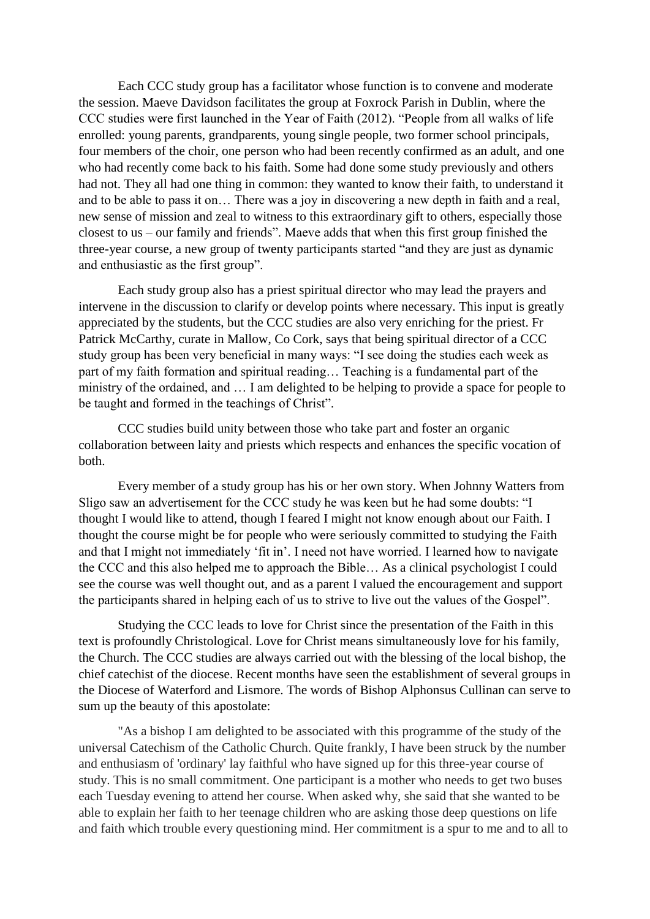Each CCC study group has a facilitator whose function is to convene and moderate the session. Maeve Davidson facilitates the group at Foxrock Parish in Dublin, where the CCC studies were first launched in the Year of Faith (2012). "People from all walks of life enrolled: young parents, grandparents, young single people, two former school principals, four members of the choir, one person who had been recently confirmed as an adult, and one who had recently come back to his faith. Some had done some study previously and others had not. They all had one thing in common: they wanted to know their faith, to understand it and to be able to pass it on… There was a joy in discovering a new depth in faith and a real, new sense of mission and zeal to witness to this extraordinary gift to others, especially those closest to us – our family and friends". Maeve adds that when this first group finished the three-year course, a new group of twenty participants started "and they are just as dynamic and enthusiastic as the first group".

Each study group also has a priest spiritual director who may lead the prayers and intervene in the discussion to clarify or develop points where necessary. This input is greatly appreciated by the students, but the CCC studies are also very enriching for the priest. Fr Patrick McCarthy, curate in Mallow, Co Cork, says that being spiritual director of a CCC study group has been very beneficial in many ways: "I see doing the studies each week as part of my faith formation and spiritual reading… Teaching is a fundamental part of the ministry of the ordained, and … I am delighted to be helping to provide a space for people to be taught and formed in the teachings of Christ".

CCC studies build unity between those who take part and foster an organic collaboration between laity and priests which respects and enhances the specific vocation of both.

Every member of a study group has his or her own story. When Johnny Watters from Sligo saw an advertisement for the CCC study he was keen but he had some doubts: "I thought I would like to attend, though I feared I might not know enough about our Faith. I thought the course might be for people who were seriously committed to studying the Faith and that I might not immediately 'fit in'. I need not have worried. I learned how to navigate the CCC and this also helped me to approach the Bible… As a clinical psychologist I could see the course was well thought out, and as a parent I valued the encouragement and support the participants shared in helping each of us to strive to live out the values of the Gospel".

Studying the CCC leads to love for Christ since the presentation of the Faith in this text is profoundly Christological. Love for Christ means simultaneously love for his family, the Church. The CCC studies are always carried out with the blessing of the local bishop, the chief catechist of the diocese. Recent months have seen the establishment of several groups in the Diocese of Waterford and Lismore. The words of Bishop Alphonsus Cullinan can serve to sum up the beauty of this apostolate:

"As a bishop I am delighted to be associated with this programme of the study of the universal Catechism of the Catholic Church. Quite frankly, I have been struck by the number and enthusiasm of 'ordinary' lay faithful who have signed up for this three-year course of study. This is no small commitment. One participant is a mother who needs to get two buses each Tuesday evening to attend her course. When asked why, she said that she wanted to be able to explain her faith to her teenage children who are asking those deep questions on life and faith which trouble every questioning mind. Her commitment is a spur to me and to all to